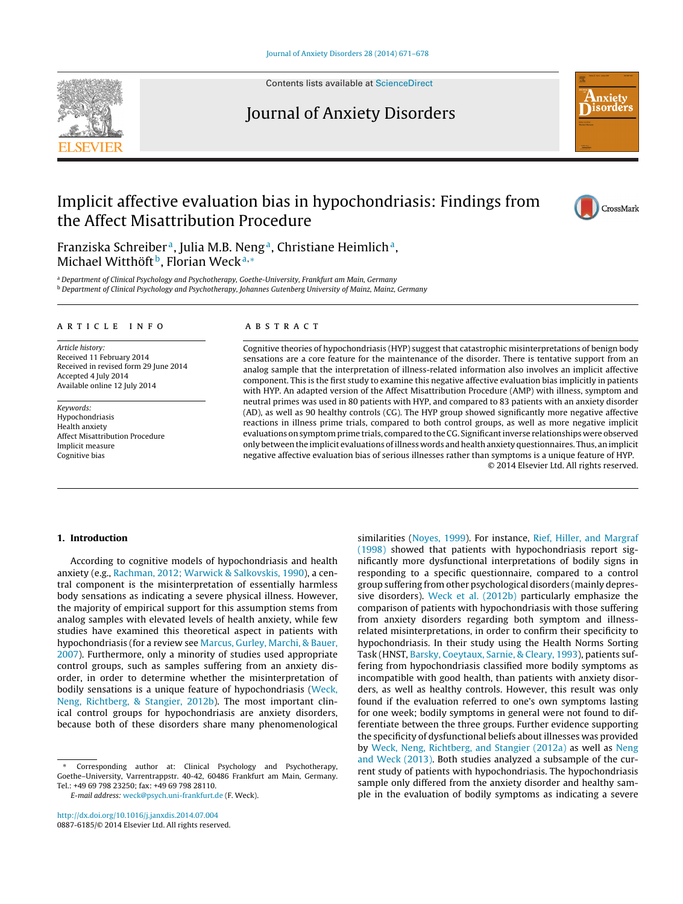

Contents lists available at [ScienceDirect](http://www.sciencedirect.com/science/journal/08876185)

### Journal of Anxiety Disorders



## Implicit affective evaluation bias in hypochondriasis: Findings from the Affect Misattribution Procedure



Franziska Schreiber<sup>a</sup>, Julia M.B. Neng<sup>a</sup>, Christiane Heimlich<sup>a</sup>, Michael Witthöft<sup>b</sup>, Florian Weck<sup>a,∗</sup>

a Department of Clinical Psychology and Psychotherapy, Goethe-University, Frankfurt am Main, Germany <sup>b</sup> Department of Clinical Psychology and Psychotherapy, Johannes Gutenberg University of Mainz, Mainz, Germany

#### a r t i c l e i n f o

Article history: Received 11 February 2014 Received in revised form 29 June 2014 Accepted 4 July 2014 Available online 12 July 2014

Keywords: Hypochondriasis Health anxiety Affect Misattribution Procedure Implicit measure Cognitive bias

#### A B S T R A C T

Cognitive theories of hypochondriasis (HYP) suggest that catastrophic misinterpretations of benign body sensations are a core feature for the maintenance of the disorder. There is tentative support from an analog sample that the interpretation of illness-related information also involves an implicit affective component. This is the first study to examine this negative affective evaluation bias implicitly in patients with HYP. An adapted version of the Affect Misattribution Procedure (AMP) with illness, symptom and neutral primes was used in 80 patients with HYP, and compared to 83 patients with an anxiety disorder (AD), as well as 90 healthy controls (CG). The HYP group showed significantly more negative affective reactions in illness prime trials, compared to both control groups, as well as more negative implicit evaluations onsymptomprime trials, compared to the CG. Significantinverse relationships were observed only between the implicit evaluations ofillness words and health anxiety questionnaires. Thus, an implicit negative affective evaluation bias of serious illnesses rather than symptoms is a unique feature of HYP. © 2014 Elsevier Ltd. All rights reserved.

#### **1. Introduction**

According to cognitive models of hypochondriasis and health anxiety (e.g., [Rachman,](#page--1-0) [2012;](#page--1-0) [Warwick](#page--1-0) [&](#page--1-0) [Salkovskis,](#page--1-0) [1990\),](#page--1-0) a central component is the misinterpretation of essentially harmless body sensations as indicating a severe physical illness. However, the majority of empirical support for this assumption stems from analog samples with elevated levels of health anxiety, while few studies have examined this theoretical aspect in patients with hypochondriasis (for a review see [Marcus,](#page--1-0) [Gurley,](#page--1-0) [Marchi,](#page--1-0) [&](#page--1-0) [Bauer,](#page--1-0) [2007\).](#page--1-0) Furthermore, only a minority of studies used appropriate control groups, such as samples suffering from an anxiety disorder, in order to determine whether the misinterpretation of bodily sensations is a unique feature of hypochondriasis ([Weck,](#page--1-0) [Neng,](#page--1-0) [Richtberg,](#page--1-0) [&](#page--1-0) [Stangier,](#page--1-0) [2012b\).](#page--1-0) The most important clinical control groups for hypochondriasis are anxiety disorders, because both of these disorders share many phenomenological

[http://dx.doi.org/10.1016/j.janxdis.2014.07.004](dx.doi.org/10.1016/j.janxdis.2014.07.004) 0887-6185/© 2014 Elsevier Ltd. All rights reserved. similarities [\(Noyes,](#page--1-0) [1999\).](#page--1-0) For instance, [Rief,](#page--1-0) [Hiller,](#page--1-0) [and](#page--1-0) [Margraf](#page--1-0) [\(1998\)](#page--1-0) showed that patients with hypochondriasis report significantly more dysfunctional interpretations of bodily signs in responding to a specific questionnaire, compared to a control group suffering from other psychological disorders (mainly depressive disorders). [Weck](#page--1-0) et [al.](#page--1-0) [\(2012b\)](#page--1-0) particularly emphasize the comparison of patients with hypochondriasis with those suffering from anxiety disorders regarding both symptom and illnessrelated misinterpretations, in order to confirm their specificity to hypochondriasis. In their study using the Health Norms Sorting Task (HNST, [Barsky,](#page--1-0) [Coeytaux,](#page--1-0) [Sarnie,](#page--1-0) [&](#page--1-0) [Cleary,](#page--1-0) [1993\),](#page--1-0) patients suffering from hypochondriasis classified more bodily symptoms as incompatible with good health, than patients with anxiety disorders, as well as healthy controls. However, this result was only found if the evaluation referred to one's own symptoms lasting for one week; bodily symptoms in general were not found to differentiate between the three groups. Further evidence supporting the specificity of dysfunctional beliefs about illnesses was provided by [Weck,](#page--1-0) [Neng,](#page--1-0) [Richtberg,](#page--1-0) [and](#page--1-0) [Stangier](#page--1-0) [\(2012a\)](#page--1-0) as well as [Neng](#page--1-0) [and](#page--1-0) [Weck](#page--1-0) [\(2013\).](#page--1-0) Both studies analyzed a subsample of the current study of patients with hypochondriasis. The hypochondriasis sample only differed from the anxiety disorder and healthy sample in the evaluation of bodily symptoms as indicating a severe

Corresponding author at: Clinical Psychology and Psychotherapy, Goethe–University, Varrentrappstr. 40-42, 60486 Frankfurt am Main, Germany. Tel.: +49 69 798 23250; fax: +49 69 798 28110.

E-mail address: [weck@psych.uni-frankfurt.de](mailto:weck@psych.uni-frankfurt.de) (F. Weck).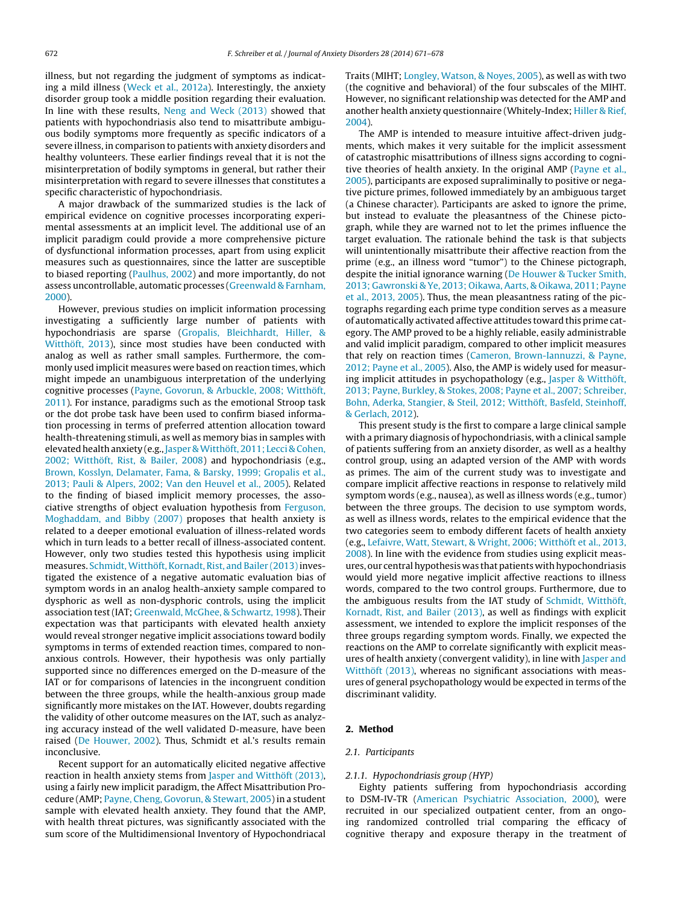illness, but not regarding the judgment of symptoms as indicating a mild illness [\(Weck](#page--1-0) et [al.,](#page--1-0) [2012a\).](#page--1-0) Interestingly, the anxiety disorder group took a middle position regarding their evaluation. In line with these results, [Neng](#page--1-0) [and](#page--1-0) [Weck](#page--1-0) [\(2013\)](#page--1-0) showed that patients with hypochondriasis also tend to misattribute ambiguous bodily symptoms more frequently as specific indicators of a severe illness, in comparison to patients with anxiety disorders and healthy volunteers. These earlier findings reveal that it is not the misinterpretation of bodily symptoms in general, but rather their misinterpretation with regard to severe illnesses that constitutes a specific characteristic of hypochondriasis.

A major drawback of the summarized studies is the lack of empirical evidence on cognitive processes incorporating experimental assessments at an implicit level. The additional use of an implicit paradigm could provide a more comprehensive picture of dysfunctional information processes, apart from using explicit measures such as questionnaires, since the latter are susceptible to biased reporting [\(Paulhus,](#page--1-0) [2002\)](#page--1-0) and more importantly, do not assess uncontrollable, automatic processes [\(Greenwald](#page--1-0) [&](#page--1-0) [Farnham,](#page--1-0) [2000\).](#page--1-0)

However, previous studies on implicit information processing investigating a sufficiently large number of patients with hypochondriasis are sparse [\(Gropalis,](#page--1-0) [Bleichhardt,](#page--1-0) [Hiller,](#page--1-0) [&](#page--1-0) [Witthöft,](#page--1-0) [2013\),](#page--1-0) since most studies have been conducted with analog as well as rather small samples. Furthermore, the commonly used implicit measures were based on reaction times, which might impede an unambiguous interpretation of the underlying cognitive processes [\(Payne,](#page--1-0) [Govorun,](#page--1-0) [&](#page--1-0) [Arbuckle,](#page--1-0) [2008;](#page--1-0) [Witthöft,](#page--1-0) [2011\).](#page--1-0) For instance, paradigms such as the emotional Stroop task or the dot probe task have been used to confirm biased information processing in terms of preferred attention allocation toward health-threatening stimuli, as well as memory bias in samples with elevated health anxiety (e.g., [Jasper](#page--1-0) & Witthöft, [2011;](#page--1-0) [Lecci](#page--1-0) [&](#page--1-0) [Cohen,](#page--1-0) [2002;](#page--1-0) [Witthöft,](#page--1-0) [Rist,](#page--1-0) [&](#page--1-0) [Bailer,](#page--1-0) [2008\)](#page--1-0) and hypochondriasis (e.g., [Brown,](#page--1-0) [Kosslyn,](#page--1-0) [Delamater,](#page--1-0) [Fama,](#page--1-0) [&](#page--1-0) [Barsky,](#page--1-0) [1999;](#page--1-0) [Gropalis](#page--1-0) et [al.,](#page--1-0) [2013;](#page--1-0) [Pauli](#page--1-0) [&](#page--1-0) [Alpers,](#page--1-0) [2002;](#page--1-0) [Van](#page--1-0) [den](#page--1-0) [Heuvel](#page--1-0) et [al.,](#page--1-0) [2005\).](#page--1-0) Related to the finding of biased implicit memory processes, the associative strengths of object evaluation hypothesis from [Ferguson,](#page--1-0) [Moghaddam,](#page--1-0) [and](#page--1-0) [Bibby](#page--1-0) [\(2007\)](#page--1-0) proposes that health anxiety is related to a deeper emotional evaluation of illness-related words which in turn leads to a better recall of illness-associated content. However, only two studies tested this hypothesis using implicit measures. Schmidt, Witthöft, Kornadt, [Rist,](#page--1-0) [and](#page--1-0) [Bailer](#page--1-0) (2013) investigated the existence of a negative automatic evaluation bias of symptom words in an analog health-anxiety sample compared to dysphoric as well as non-dysphoric controls, using the implicit association test(IAT; [Greenwald,](#page--1-0) [McGhee,](#page--1-0) [&](#page--1-0) [Schwartz,](#page--1-0) [1998\).](#page--1-0) Their expectation was that participants with elevated health anxiety would reveal stronger negative implicit associations toward bodily symptoms in terms of extended reaction times, compared to nonanxious controls. However, their hypothesis was only partially supported since no differences emerged on the D-measure of the IAT or for comparisons of latencies in the incongruent condition between the three groups, while the health-anxious group made significantly more mistakes on the IAT. However, doubts regarding the validity of other outcome measures on the IAT, such as analyzing accuracy instead of the well validated D-measure, have been raised ([De](#page--1-0) [Houwer,](#page--1-0) [2002\).](#page--1-0) Thus, Schmidt et al.'s results remain inconclusive.

Recent support for an automatically elicited negative affective reaction in health anxiety stems from [Jasper](#page--1-0) [and](#page--1-0) [Witthöft](#page--1-0) [\(2013\),](#page--1-0) using a fairly new implicit paradigm, the Affect Misattribution Procedure (AMP; [Payne,](#page--1-0) [Cheng,](#page--1-0) [Govorun,](#page--1-0) [&](#page--1-0) [Stewart,](#page--1-0) [2005\)](#page--1-0) in a student sample with elevated health anxiety. They found that the AMP, with health threat pictures, was significantly associated with the sum score of the Multidimensional Inventory of Hypochondriacal

Traits (MIHT; [Longley,](#page--1-0) [Watson,](#page--1-0) [&](#page--1-0) [Noyes,](#page--1-0) [2005\),](#page--1-0) as well as with two (the cognitive and behavioral) of the four subscales of the MIHT. However, no significant relationship was detected for the AMP and another health anxiety questionnaire (Whitely-Index; [Hiller](#page--1-0) [&](#page--1-0) [Rief,](#page--1-0) [2004\).](#page--1-0)

The AMP is intended to measure intuitive affect-driven judgments, which makes it very suitable for the implicit assessment of catastrophic misattributions of illness signs according to cognitive theories of health anxiety. In the original AMP [\(Payne](#page--1-0) et [al.,](#page--1-0) [2005\),](#page--1-0) participants are exposed supraliminally to positive or negative picture primes, followed immediately by an ambiguous target (a Chinese character). Participants are asked to ignore the prime, but instead to evaluate the pleasantness of the Chinese pictograph, while they are warned not to let the primes influence the target evaluation. The rationale behind the task is that subjects will unintentionally misattribute their affective reaction from the prime (e.g., an illness word "tumor") to the Chinese pictograph, despite the initial ignorance warning [\(De](#page--1-0) [Houwer](#page--1-0) [&](#page--1-0) [Tucker](#page--1-0) [Smith,](#page--1-0) [2013;](#page--1-0) [Gawronski](#page--1-0) [&](#page--1-0) [Ye,](#page--1-0) [2013;](#page--1-0) [Oikawa,](#page--1-0) [Aarts,](#page--1-0) [&](#page--1-0) [Oikawa,](#page--1-0) [2011;](#page--1-0) [Payne](#page--1-0) et [al.,](#page--1-0) [2013,](#page--1-0) [2005\).](#page--1-0) Thus, the mean pleasantness rating of the pictographs regarding each prime type condition serves as a measure of automatically activated affective attitudes toward this prime category. The AMP proved to be a highly reliable, easily administrable and valid implicit paradigm, compared to other implicit measures that rely on reaction times [\(Cameron,](#page--1-0) [Brown-Iannuzzi,](#page--1-0) [&](#page--1-0) [Payne,](#page--1-0) [2012;](#page--1-0) [Payne](#page--1-0) et [al.,](#page--1-0) [2005\).](#page--1-0) Also, the AMP is widely used for measuring implicit attitudes in psychopathology (e.g., [Jasper](#page--1-0) [&](#page--1-0) [Witthöft,](#page--1-0) [2013;](#page--1-0) [Payne,](#page--1-0) [Burkley,](#page--1-0) [&](#page--1-0) [Stokes,](#page--1-0) [2008;](#page--1-0) [Payne](#page--1-0) et [al.,](#page--1-0) [2007;](#page--1-0) [Schreiber,](#page--1-0) [Bohn,](#page--1-0) [Aderka,](#page--1-0) [Stangier,](#page--1-0) [&](#page--1-0) [Steil,](#page--1-0) [2012;](#page--1-0) [Witthöft,](#page--1-0) [Basfeld,](#page--1-0) [Steinhoff,](#page--1-0) [&](#page--1-0) [Gerlach,](#page--1-0) [2012\).](#page--1-0)

This present study is the first to compare a large clinical sample with a primary diagnosis of hypochondriasis, with a clinical sample of patients suffering from an anxiety disorder, as well as a healthy control group, using an adapted version of the AMP with words as primes. The aim of the current study was to investigate and compare implicit affective reactions in response to relatively mild symptom words (e.g., nausea), as well as illness words (e.g., tumor) between the three groups. The decision to use symptom words, as well as illness words, relates to the empirical evidence that the two categories seem to embody different facets of health anxiety (e.g., [Lefaivre,](#page--1-0) [Watt,](#page--1-0) [Stewart,](#page--1-0) [&](#page--1-0) [Wright,](#page--1-0) [2006;](#page--1-0) [Witthöft](#page--1-0) et [al.,](#page--1-0) [2013,](#page--1-0) [2008\).](#page--1-0) In line with the evidence from studies using explicit measures, our central hypothesis was that patients with hypochondriasis would yield more negative implicit affective reactions to illness words, compared to the two control groups. Furthermore, due to the ambiguous results from the IAT study of [Schmidt,](#page--1-0) [Witthöft,](#page--1-0) [Kornadt,](#page--1-0) [Rist,](#page--1-0) [and](#page--1-0) [Bailer](#page--1-0) [\(2013\),](#page--1-0) as well as findings with explicit assessment, we intended to explore the implicit responses of the three groups regarding symptom words. Finally, we expected the reactions on the AMP to correlate significantly with explicit measures of health anxiety (convergent validity), in line with [Jasper](#page--1-0) [and](#page--1-0) [Witthöft](#page--1-0) [\(2013\),](#page--1-0) whereas no significant associations with measures of general psychopathology would be expected in terms of the discriminant validity.

#### **2. Method**

#### 2.1. Participants

#### 2.1.1. Hypochondriasis group (HYP)

Eighty patients suffering from hypochondriasis according to DSM-IV-TR [\(American](#page--1-0) [Psychiatric](#page--1-0) [Association,](#page--1-0) [2000\),](#page--1-0) were recruited in our specialized outpatient center, from an ongoing randomized controlled trial comparing the efficacy of cognitive therapy and exposure therapy in the treatment of